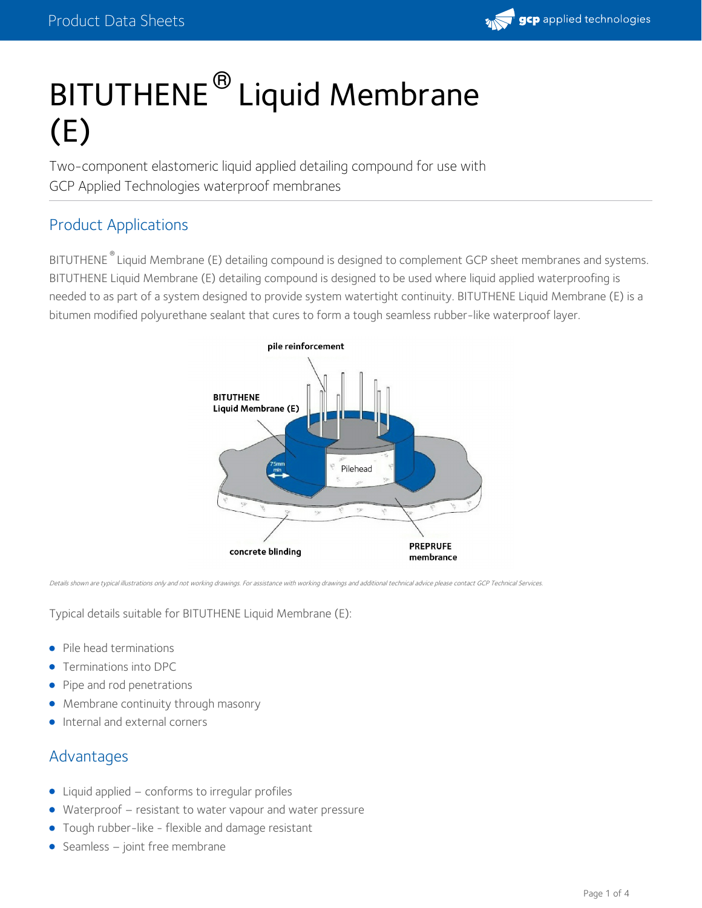

# BITUTHENE<sup>®</sup> Liquid Membrane (E)

Two-component elastomeric liquid applied detailing compound for use with GCP Applied Technologies waterproof membranes

# Product Applications

BITUTHENE<sup>®</sup> Liquid Membrane (E) detailing compound is designed to complement GCP sheet membranes and systems. BITUTHENE Liquid Membrane (E) detailing compound is designed to be used where liquid applied waterproofing is needed to as part of a system designed to provide system watertight continuity. BITUTHENE Liquid Membrane (E) is a bitumen modified polyurethane sealant that cures to form a tough seamless rubber-like waterproof layer.



Details shown are typical illustrations only and not working drawings. For assistance with working drawings and additional technical advice please contact GCP Technical Services.

Typical details suitable for BITUTHENE Liquid Membrane (E):

- Pile head terminations
- Terminations into DPC  $\bullet$
- Pipe and rod penetrations
- Membrane continuity through masonry
- Internal and external corners

# Advantages

- Liquid applied conforms to irregular profiles
- Waterproof resistant to water vapour and water pressure
- Tough rubber-like flexible and damage resistant
- Seamless joint free membrane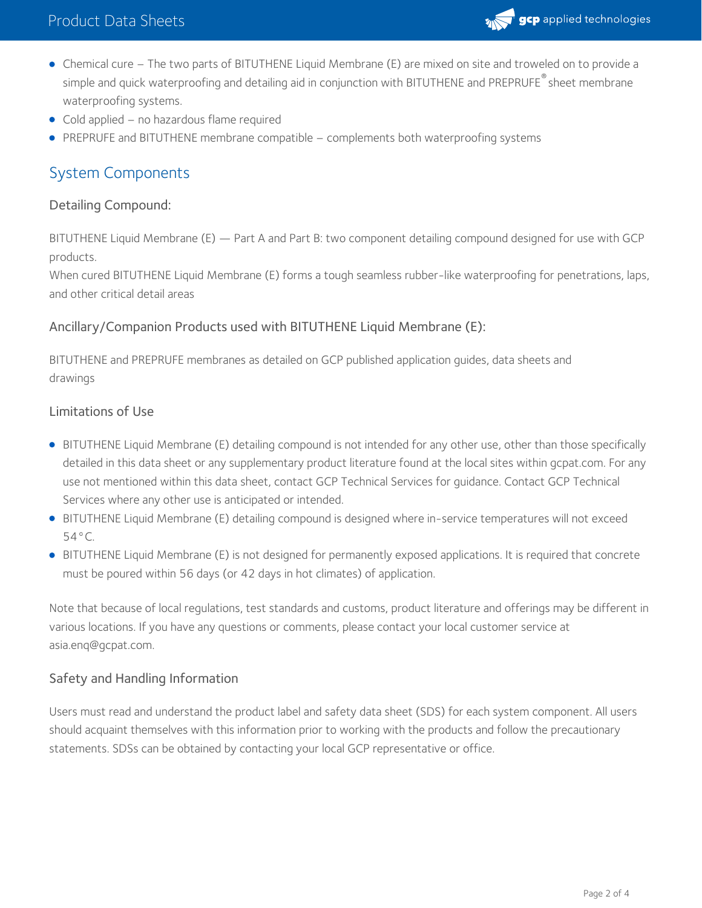

- Chemical cure The two parts of BITUTHENE Liquid Membrane (E) are mixed on site and troweled on to provide a simple and quick waterproofing and detailing aid in conjunction with BITUTHENE and PREPRUFE  $^\circ$  sheet membrane waterproofing systems.
- Cold applied no hazardous flame required
- PREPRUFE and BITUTHENE membrane compatible complements both waterproofing systems

# System Components

#### Detailing Compound:

BITUTHENE Liquid Membrane (E) — Part A and Part B: two component detailing compound designed for use with GCP products.

When cured BITUTHENE Liquid Membrane (E) forms a tough seamless rubber-like waterproofing for penetrations, laps, and other critical detail areas

## Ancillary/Companion Products used with BITUTHENE Liquid Membrane (E):

BITUTHENE and PREPRUFE membranes as detailed on GCP published application guides, data sheets and drawings

#### Limitations of Use

- BITUTHENE Liquid Membrane (E) detailing compound is not intended for any other use, other than those specifically detailed in this data sheet or any supplementary product literature found at the local sites within gcpat.com. For any use not mentioned within this data sheet, contact GCP Technical Services for guidance. Contact GCP Technical Services where any other use is anticipated or intended.
- BITUTHENE Liquid Membrane (E) detailing compound is designed where in-service temperatures will not exceed 54°C.
- BITUTHENE Liquid Membrane (E) is not designed for permanently exposed applications. It is required that concrete must be poured within 56 days (or 42 days in hot climates) of application.

Note that because of local regulations, test standards and customs, product literature and offerings may be different in various locations. If you have any questions or comments, please contact your local customer service at asia.enq@gcpat.com.

## Safety and Handling Information

Users must read and understand the product label and safety data sheet (SDS) for each system component. All users should acquaint themselves with this information prior to working with the products and follow the precautionary statements. SDSs can be obtained by contacting your local GCP representative or office.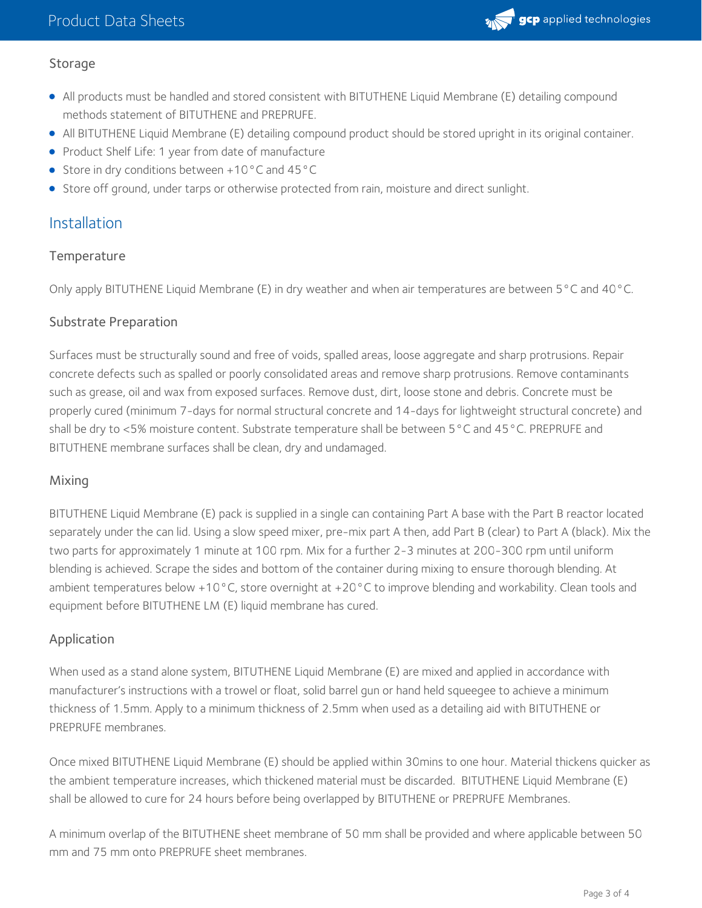

# Storage

- All products must be handled and stored consistent with BITUTHENE Liquid Membrane (E) detailing compound methods statement of BITUTHENE and PREPRUFE.
- All BITUTHENE Liquid Membrane (E) detailing compound product should be stored upright in its original container.
- Product Shelf Life: 1 year from date of manufacture
- Store in dry conditions between +10°C and 45°C
- **Store off ground, under tarps or otherwise protected from rain, moisture and direct sunlight.**

# Installation

# **Temperature**

Only apply BITUTHENE Liquid Membrane (E) in dry weather and when air temperatures are between 5°C and 40°C.

# Substrate Preparation

Surfaces must be structurally sound and free of voids, spalled areas, loose aggregate and sharp protrusions. Repair concrete defects such as spalled or poorly consolidated areas and remove sharp protrusions. Remove contaminants such as grease, oil and wax from exposed surfaces. Remove dust, dirt, loose stone and debris. Concrete must be properly cured (minimum 7-days for normal structural concrete and 14-days for lightweight structural concrete) and shall be dry to <5% moisture content. Substrate temperature shall be between 5°C and 45°C. PREPRUFE and BITUTHENE membrane surfaces shall be clean, dry and undamaged.

# Mixing

BITUTHENE Liquid Membrane (E) pack is supplied in a single can containing Part A base with the Part B reactor located separately under the can lid. Using a slow speed mixer, pre-mix part A then, add Part B (clear) to Part A (black). Mix the two parts for approximately 1 minute at 100 rpm. Mix for a further 2-3 minutes at 200-300 rpm until uniform blending is achieved. Scrape the sides and bottom of the container during mixing to ensure thorough blending. At ambient temperatures below +10°C, store overnight at +20°C to improve blending and workability. Clean tools and equipment before BITUTHENE LM (E) liquid membrane has cured.

# Application

When used as a stand alone system, BITUTHENE Liquid Membrane (E) are mixed and applied in accordance with manufacturer's instructions with a trowel or float, solid barrel gun or hand held squeegee to achieve a minimum thickness of 1.5mm. Apply to a minimum thickness of 2.5mm when used as a detailing aid with BITUTHENE or PREPRUFE membranes.

Once mixed BITUTHENE Liquid Membrane (E) should be applied within 30mins to one hour. Material thickens quicker as the ambient temperature increases, which thickened material must be discarded. BITUTHENE Liquid Membrane (E) shall be allowed to cure for 24 hours before being overlapped by BITUTHENE or PREPRUFE Membranes.

A minimum overlap of the BITUTHENE sheet membrane of 50 mm shall be provided and where applicable between 50 mm and 75 mm onto PREPRUFE sheet membranes.